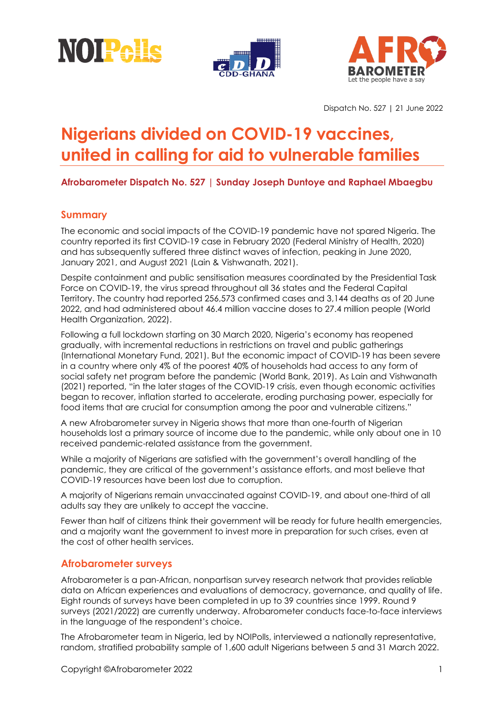





Dispatch No. 527 | 21 June 2022

# **Nigerians divided on COVID-19 vaccines, united in calling for aid to vulnerable families**

## **Afrobarometer Dispatch No. 527 | Sunday Joseph Duntoye and Raphael Mbaegbu**

## **Summary**

The economic and social impacts of the COVID-19 pandemic have not spared Nigeria. The country reported its first COVID-19 case in February 2020 (Federal Ministry of Health, 2020) and has subsequently suffered three distinct waves of infection, peaking in June 2020, January 2021, and August 2021 (Lain & Vishwanath, 2021).

Despite containment and public sensitisation measures coordinated by the Presidential Task Force on COVID-19, the virus spread throughout all 36 states and the Federal Capital Territory. The country had reported 256,573 confirmed cases and 3,144 deaths as of 20 June 2022, and had administered about 46.4 million vaccine doses to 27.4 million people (World Health Organization, 2022).

Following a full lockdown starting on 30 March 2020, Nigeria's economy has reopened gradually, with incremental reductions in restrictions on travel and public gatherings (International Monetary Fund, 2021). But the economic impact of COVID-19 has been severe in a country where only 4% of the poorest 40% of households had access to any form of social safety net program before the pandemic (World Bank, 2019). As Lain and Vishwanath (2021) reported, "in the later stages of the COVID-19 crisis, even though economic activities began to recover, inflation started to accelerate, eroding purchasing power, especially for food items that are crucial for consumption among the poor and vulnerable citizens."

A new Afrobarometer survey in Nigeria shows that more than one-fourth of Nigerian households lost a primary source of income due to the pandemic, while only about one in 10 received pandemic-related assistance from the government.

While a majority of Nigerians are satisfied with the government's overall handling of the pandemic, they are critical of the government's assistance efforts, and most believe that COVID-19 resources have been lost due to corruption.

A majority of Nigerians remain unvaccinated against COVID-19, and about one-third of all adults say they are unlikely to accept the vaccine.

Fewer than half of citizens think their government will be ready for future health emergencies, and a majority want the government to invest more in preparation for such crises, even at the cost of other health services.

## **Afrobarometer surveys**

Afrobarometer is a pan-African, nonpartisan survey research network that provides reliable data on African experiences and evaluations of democracy, governance, and quality of life. Eight rounds of surveys have been completed in up to 39 countries since 1999. Round 9 surveys (2021/2022) are currently underway. Afrobarometer conducts face-to-face interviews in the language of the respondent's choice.

The Afrobarometer team in Nigeria, led by NOIPolls, interviewed a nationally representative, random, stratified probability sample of 1,600 adult Nigerians between 5 and 31 March 2022.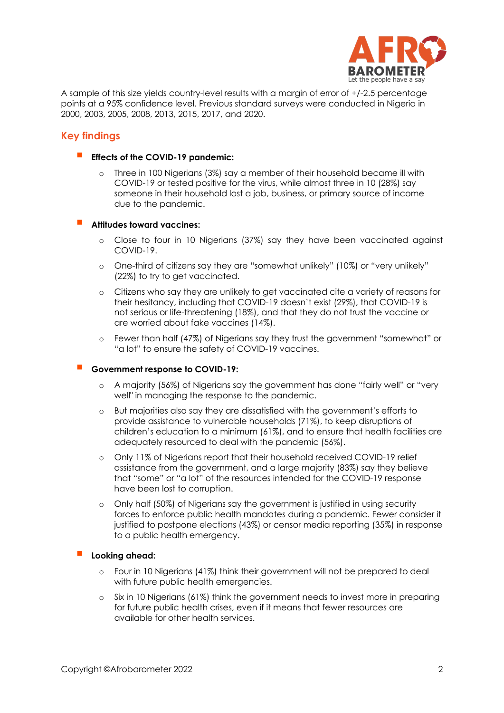

A sample of this size yields country-level results with a margin of error of +/-2.5 percentage points at a 95% confidence level. Previous standard surveys were conducted in Nigeria in 2000, 2003, 2005, 2008, 2013, 2015, 2017, and 2020.

## **Key findings**

- **Effects of the COVID-19 pandemic:**
	- Three in 100 Nigerians (3%) say a member of their household became ill with COVID-19 or tested positive for the virus, while almost three in 10 (28%) say someone in their household lost a job, business, or primary source of income due to the pandemic.
- **Attitudes toward vaccines:**
	- o Close to four in 10 Nigerians (37%) say they have been vaccinated against COVID-19.
	- o One-third of citizens say they are "somewhat unlikely" (10%) or "very unlikely" (22%) to try to get vaccinated.
	- o Citizens who say they are unlikely to get vaccinated cite a variety of reasons for their hesitancy, including that COVID-19 doesn't exist (29%), that COVID-19 is not serious or life-threatening (18%), and that they do not trust the vaccine or are worried about fake vaccines (14%).
	- o Fewer than half (47%) of Nigerians say they trust the government "somewhat" or "a lot" to ensure the safety of COVID-19 vaccines.

#### **Government response to COVID-19:**

- o A majority (56%) of Nigerians say the government has done "fairly well" or "very well" in managing the response to the pandemic.
- o But majorities also say they are dissatisfied with the government's efforts to provide assistance to vulnerable households (71%), to keep disruptions of children's education to a minimum (61%), and to ensure that health facilities are adequately resourced to deal with the pandemic (56%).
- o Only 11% of Nigerians report that their household received COVID-19 relief assistance from the government, and a large majority (83%) say they believe that "some" or "a lot" of the resources intended for the COVID-19 response have been lost to corruption.
- o Only half (50%) of Nigerians say the government is justified in using security forces to enforce public health mandates during a pandemic. Fewer consider it justified to postpone elections (43%) or censor media reporting (35%) in response to a public health emergency.

#### **Looking ahead:**

- o Four in 10 Nigerians (41%) think their government will not be prepared to deal with future public health emergencies.
- o Six in 10 Nigerians (61%) think the government needs to invest more in preparing for future public health crises, even if it means that fewer resources are available for other health services.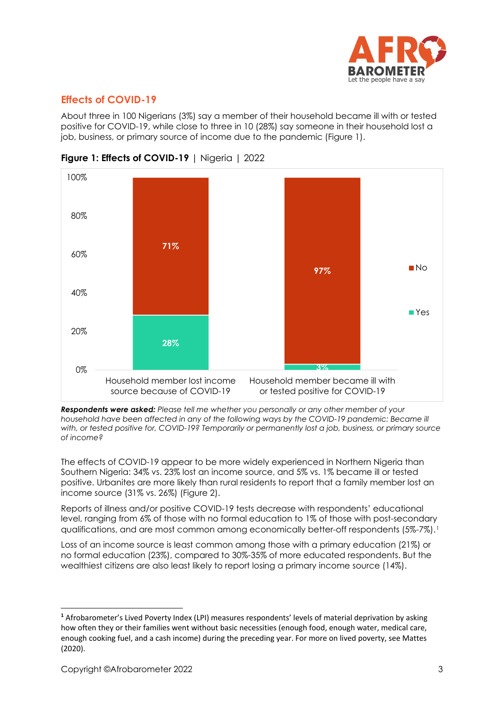

## **Effects of COVID-19**

About three in 100 Nigerians (3%) say a member of their household became ill with or tested positive for COVID-19, while close to three in 10 (28%) say someone in their household lost a job, business, or primary source of income due to the pandemic (Figure 1).



## **Figure 1: Effects of COVID-19** | Nigeria | 2022

*Respondents were asked: Please tell me whether you personally or any other member of your*  household have been affected in any of the following ways by the COVID-19 pandemic: Became ill *with, or tested positive for, COVID-19? Temporarily or permanently lost a job, business, or primary source of income?*

The effects of COVID-19 appear to be more widely experienced in Northern Nigeria than Southern Nigeria: 34% vs. 23% lost an income source, and 5% vs. 1% became ill or tested positive. Urbanites are more likely than rural residents to report that a family member lost an income source (31% vs. 26%) (Figure 2).

Reports of illness and/or positive COVID-19 tests decrease with respondents' educational level, ranging from 6% of those with no formal education to 1% of those with post-secondary qualifications, and are most common among economically better-off respondents (5%-7%).<sup>[1](#page-2-0)</sup>

Loss of an income source is least common among those with a primary education (21%) or no formal education (23%), compared to 30%-35% of more educated respondents. But the wealthiest citizens are also least likely to report losing a primary income source (14%).

<span id="page-2-0"></span>**<sup>1</sup>** Afrobarometer's Lived Poverty Index (LPI) measures respondents' levels of material deprivation by asking how often they or their families went without basic necessities (enough food, enough water, medical care, enough cooking fuel, and a cash income) during the preceding year. For more on lived poverty, see Mattes (2020).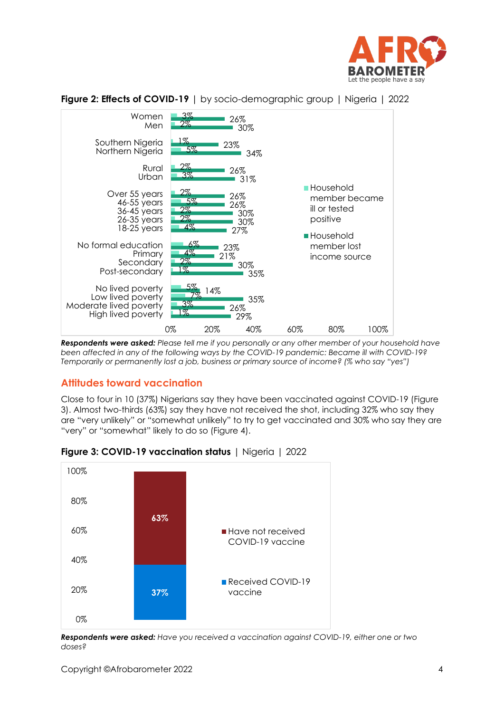



**Figure 2: Effects of COVID-19** | by socio-demographic group | Nigeria | 2022

*Respondents were asked: Please tell me if you personally or any other member of your household have been affected in any of the following ways by the COVID-19 pandemic: Became ill with COVID-19? Temporarily or permanently lost a job, business or primary source of income? (% who say "yes")*

## **Attitudes toward vaccination**

Close to four in 10 (37%) Nigerians say they have been vaccinated against COVID-19 (Figure 3). Almost two-thirds (63%) say they have not received the shot, including 32% who say they are "very unlikely" or "somewhat unlikely" to try to get vaccinated and 30% who say they are "very" or "somewhat" likely to do so (Figure 4).



**Figure 3: COVID-19 vaccination status** | Nigeria | 2022

*Respondents were asked: Have you received a vaccination against COVID-19, either one or two doses?*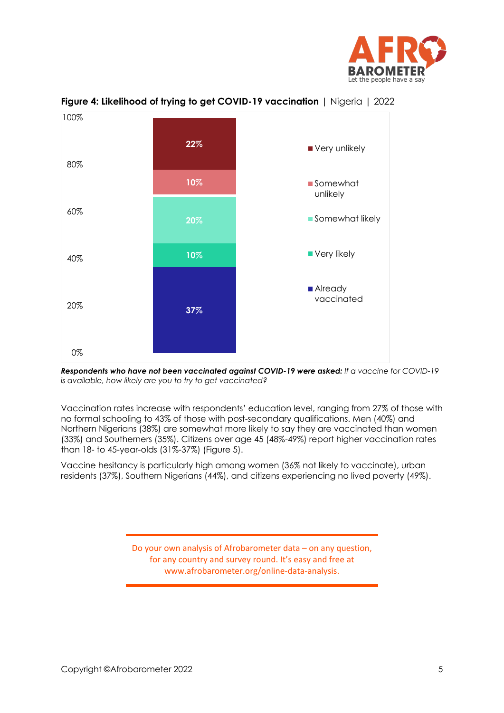



**Figure 4: Likelihood of trying to get COVID-19 vaccination** | Nigeria | 2022

*Respondents who have not been vaccinated against COVID-19 were asked: If a vaccine for COVID-19 is available, how likely are you to try to get vaccinated?*

Vaccination rates increase with respondents' education level, ranging from 27% of those with no formal schooling to 43% of those with post-secondary qualifications. Men (40%) and Northern Nigerians (38%) are somewhat more likely to say they are vaccinated than women (33%) and Southerners (35%). Citizens over age 45 (48%-49%) report higher vaccination rates than 18- to 45-year-olds (31%-37%) (Figure 5).

Vaccine hesitancy is particularly high among women (36% not likely to vaccinate), urban residents (37%), Southern Nigerians (44%), and citizens experiencing no lived poverty (49%).

> Do your own analysis of Afrobarometer data – on any question, for any country and survey round. It's easy and free at www.afrobarometer.org/online-data-analysis.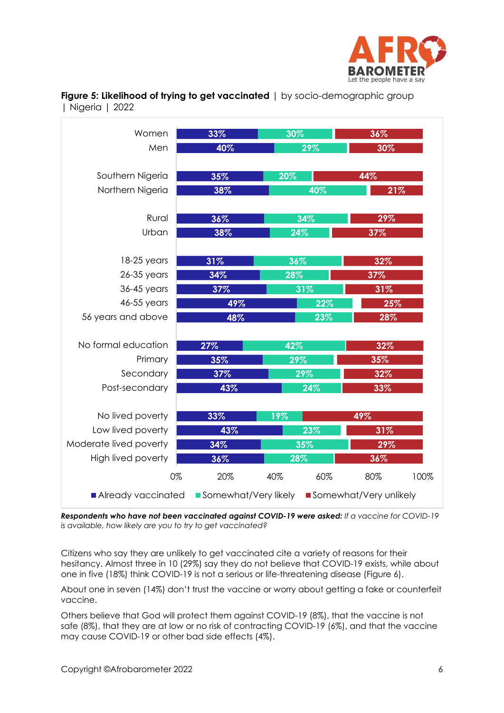

| Women                     | 33%                  | 30% |     | 36%                    |      |  |
|---------------------------|----------------------|-----|-----|------------------------|------|--|
| Men                       | 40%                  |     | 29% |                        | 30%  |  |
|                           |                      |     |     |                        |      |  |
| Southern Nigeria          | 35%                  | 20% |     | 44%                    |      |  |
| Northern Nigeria          | 38%                  |     | 40% |                        | 21%  |  |
|                           |                      |     |     |                        |      |  |
| Rural                     | 36%                  |     | 34% | 29%                    |      |  |
| Urban                     | 38%                  | 24% |     | 37%                    |      |  |
|                           |                      |     |     |                        |      |  |
| $18-25$ years             | 31%                  | 36% |     | 32%                    |      |  |
| 26-35 years               | 34%                  | 28% |     | 37%                    |      |  |
| 36-45 years               | 37%                  |     | 31% | 31%                    |      |  |
| 46-55 years               | 49%                  |     | 22% | 25%                    |      |  |
| 56 years and above        | 48%                  | 23% |     | 28%                    |      |  |
|                           |                      |     |     |                        |      |  |
| No formal education       | 27%                  | 42% |     | 32%                    |      |  |
| Primary                   | 35%                  | 29% |     | 35%                    |      |  |
| Secondary                 | 37%                  |     | 29% | 32%                    |      |  |
| Post-secondary            | 43%                  |     | 24% | 33%                    |      |  |
|                           |                      |     |     |                        |      |  |
| No lived poverty          | 33%                  | 19% |     | 49%                    |      |  |
| Low lived poverty         | 43%                  |     | 23% | 31%                    |      |  |
| Moderate lived poverty    | 34%                  |     | 35% | 29%                    |      |  |
| <b>High lived poverty</b> | 36%                  | 28% |     | 36%                    |      |  |
| 0%                        | 20%                  | 40% | 60% | 80%                    | 100% |  |
| Already vaccinated        | Somewhat/Very likely |     |     | Somewhat/Very unlikely |      |  |

**Figure 5: Likelihood of trying to get vaccinated** | by socio-demographic group | Nigeria | 2022

*Respondents who have not been vaccinated against COVID-19 were asked: If a vaccine for COVID-19 is available, how likely are you to try to get vaccinated?*

Citizens who say they are unlikely to get vaccinated cite a variety of reasons for their hesitancy. Almost three in 10 (29%) say they do not believe that COVID-19 exists, while about one in five (18%) think COVID-19 is not a serious or life-threatening disease (Figure 6).

About one in seven (14%) don't trust the vaccine or worry about getting a fake or counterfeit vaccine.

Others believe that God will protect them against COVID-19 (8%), that the vaccine is not safe (8%), that they are at low or no risk of contracting COVID-19 (6%), and that the vaccine may cause COVID-19 or other bad side effects (4%).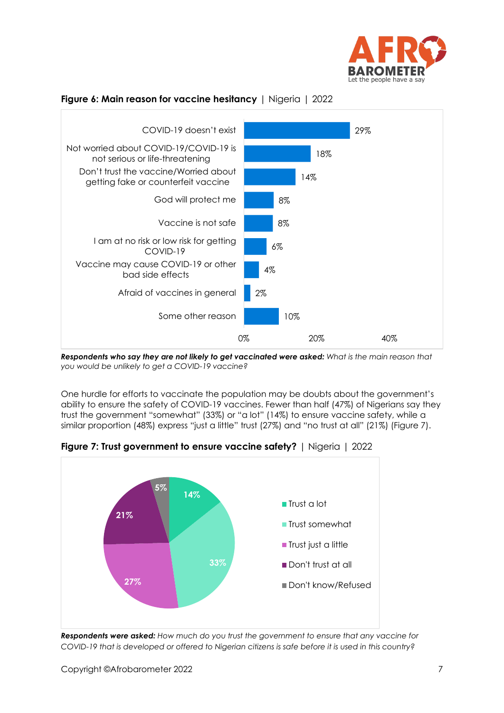



### **Figure 6: Main reason for vaccine hesitancy** | Nigeria | 2022

*Respondents who say they are not likely to get vaccinated were asked: What is the main reason that you would be unlikely to get a COVID-19 vaccine?*

One hurdle for efforts to vaccinate the population may be doubts about the government's ability to ensure the safety of COVID-19 vaccines. Fewer than half (47%) of Nigerians say they trust the government "somewhat" (33%) or "a lot" (14%) to ensure vaccine safety, while a similar proportion (48%) express "just a little" trust (27%) and "no trust at all" (21%) (Figure 7).



**Figure 7: Trust government to ensure vaccine safety?** | Nigeria | 2022

*Respondents were asked: How much do you trust the government to ensure that any vaccine for COVID-19 that is developed or offered to Nigerian citizens is safe before it is used in this country?*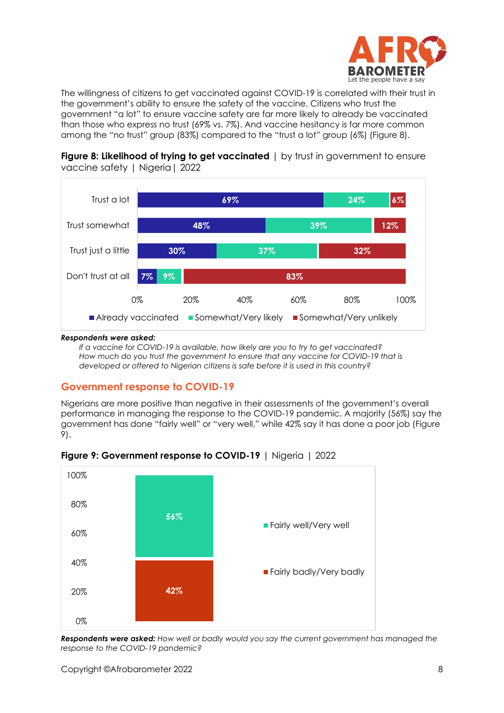

The willingness of citizens to get vaccinated against COVID-19 is correlated with their trust in the government's ability to ensure the safety of the vaccine. Citizens who trust the government "a lot" to ensure vaccine safety are far more likely to already be vaccinated than those who express no trust (69% vs. 7%). And vaccine hesitancy is far more common among the "no trust" group (83%) compared to the "trust a lot" group (6%) (Figure 8).



**Figure 8: Likelihood of trying to get vaccinated**  $\vert$  by trust in government to ensure vaccine safety | Nigeria | 2022

#### *Respondents were asked:*

*If a vaccine for COVID-19 is available, how likely are you to try to get vaccinated? How much do you trust the government to ensure that any vaccine for COVID-19 that is developed or offered to Nigerian citizens is safe before it is used in this country?*

#### **Government response to COVID-19**

Nigerians are more positive than negative in their assessments of the government's overall performance in managing the response to the COVID-19 pandemic. A majority (56%) say the government has done "fairly well" or "very well," while 42% say it has done a poor job (Figure 9).



**Figure 9: Government response to COVID-19** | Nigeria | 2022

*Respondents were asked: How well or badly would you say the current government has managed the response to the COVID-19 pandemic?*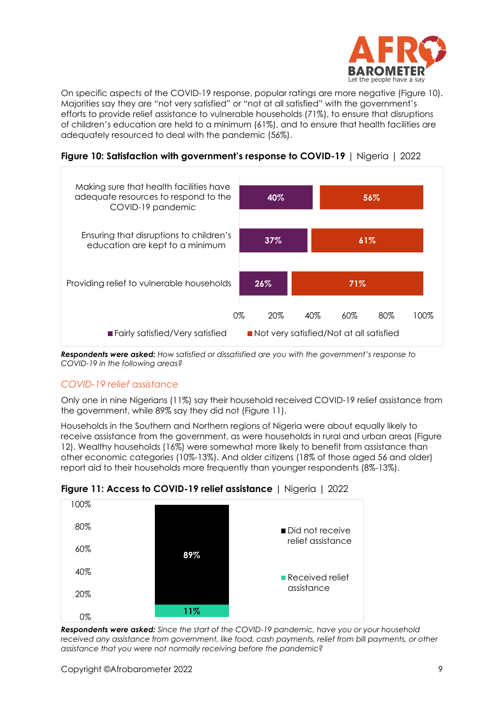

On specific aspects of the COVID-19 response, popular ratings are more negative (Figure 10). Majorities say they are "not very satisfied" or "not at all satisfied" with the government's efforts to provide relief assistance to vulnerable households (71%), to ensure that disruptions of children's education are held to a minimum (61%), and to ensure that health facilities are adequately resourced to deal with the pandemic (56%).

**Figure 10: Satisfaction with government's response to COVID-19** | Nigeria | 2022



*Respondents were asked: How satisfied or dissatisfied are you with the government's response to COVID-19 in the following areas?*

## *COVID-19 relief assistance*

Only one in nine Nigerians (11%) say their household received COVID-19 relief assistance from the government, while 89% say they did not (Figure 11).

Households in the Southern and Northern regions of Nigeria were about equally likely to receive assistance from the government, as were households in rural and urban areas (Figure 12). Wealthy households (16%) were somewhat more likely to benefit from assistance than other economic categories (10%-13%). And older citizens (18% of those aged 56 and older) report aid to their households more frequently than younger respondents (8%-13%).



## **Figure 11: Access to COVID-19 relief assistance** | Nigeria | 2022

*Respondents were asked: Since the start of the COVID-19 pandemic, have you or your household received any assistance from government, like food, cash payments, relief from bill payments, or other assistance that you were not normally receiving before the pandemic?*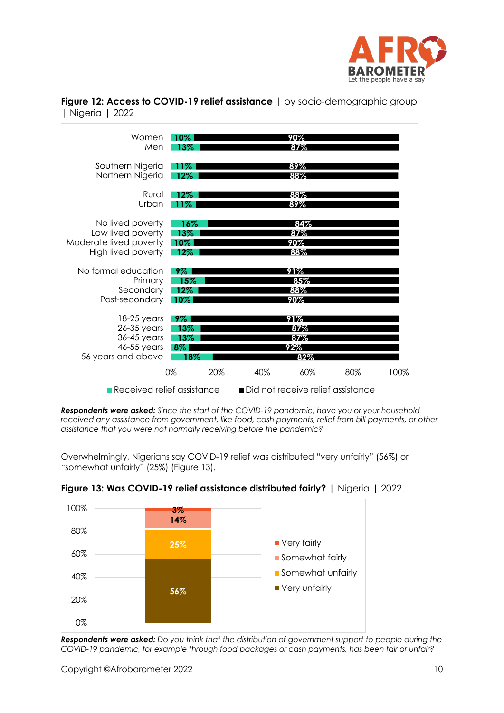

**Figure 12: Access to COVID-19 relief assistance** | by socio-demographic group | Nigeria | 2022

| Women<br>Men                                                                          | 10%<br>13%                       | 90%<br>87%                                 |            |      |
|---------------------------------------------------------------------------------------|----------------------------------|--------------------------------------------|------------|------|
| Southern Nigeria<br>Northern Nigeria                                                  | 11%<br>$12\%$                    | 89%<br>88%                                 |            |      |
| Rural<br>Urban                                                                        | 12%                              | 88%<br>89%                                 |            |      |
| No lived poverty<br>Low lived poverty<br>Moderate lived poverty<br>High lived poverty | 16%<br>13%<br>10%<br>12%         | <u>87%</u><br>90%<br>88%                   | 84%        |      |
| No formal education<br>Primary<br>Secondary<br>Post-secondary                         | 9%<br>15%<br>12%<br>$10\%$       | 91%<br>85%<br>88%<br>90%                   |            |      |
| $18-25$ years<br>$26-35$ years<br>36-45 years<br>46-55 years<br>56 years and above    | 9%<br>13%<br>13%<br>$8\%$<br>18% | 91%<br>87%<br>87%<br>92%                   | 82%        |      |
| Received relief assistance                                                            | 0%<br>20%                        | 40%<br>■ Did not receive relief assistance | 60%<br>80% | 100% |

*Respondents were asked: Since the start of the COVID-19 pandemic, have you or your household received any assistance from government, like food, cash payments, relief from bill payments, or other assistance that you were not normally receiving before the pandemic?*

Overwhelmingly, Nigerians say COVID-19 relief was distributed "very unfairly" (56%) or "somewhat unfairly" (25%) (Figure 13).



## **Figure 13: Was COVID-19 relief assistance distributed fairly?** | Nigeria | 2022

*Respondents were asked: Do you think that the distribution of government support to people during the COVID-19 pandemic, for example through food packages or cash payments, has been fair or unfair?*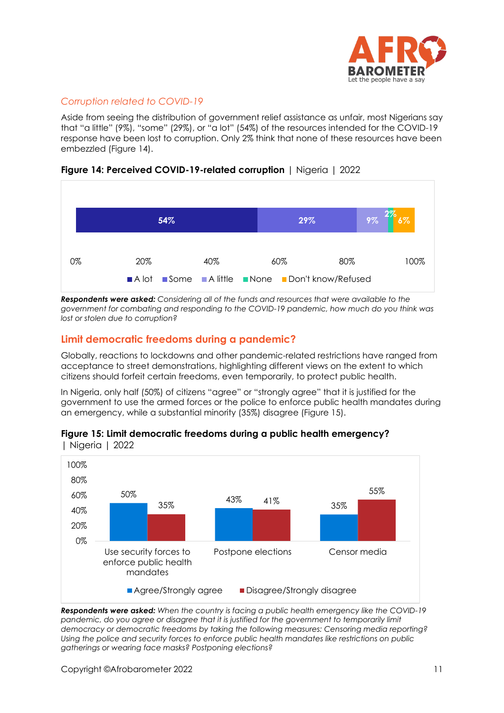

## *Corruption related to COVID-19*

Aside from seeing the distribution of government relief assistance as unfair, most Nigerians say that "a little" (9%), "some" (29%), or "a lot" (54%) of the resources intended for the COVID-19 response have been lost to corruption. Only 2% think that none of these resources have been embezzled (Figure 14).



## **Figure 14: Perceived COVID-19-related corruption** | Nigeria | 2022

*Respondents were asked: Considering all of the funds and resources that were available to the government for combating and responding to the COVID-19 pandemic, how much do you think was lost or stolen due to corruption?*

## **Limit democratic freedoms during a pandemic?**

Globally, reactions to lockdowns and other pandemic-related restrictions have ranged from acceptance to street demonstrations, highlighting different views on the extent to which citizens should forfeit certain freedoms, even temporarily, to protect public health.

In Nigeria, only half (50%) of citizens "agree" or "strongly agree" that it is justified for the government to use the armed forces or the police to enforce public health mandates during an emergency, while a substantial minority (35%) disagree (Figure 15).



## **Figure 15: Limit democratic freedoms during a public health emergency?**

*Respondents were asked: When the country is facing a public health emergency like the COVID-19*  pandemic, do you agree or disagree that it is justified for the government to temporarily limit *democracy or democratic freedoms by taking the following measures: Censoring media reporting? Using the police and security forces to enforce public health mandates like restrictions on public gatherings or wearing face masks? Postponing elections?*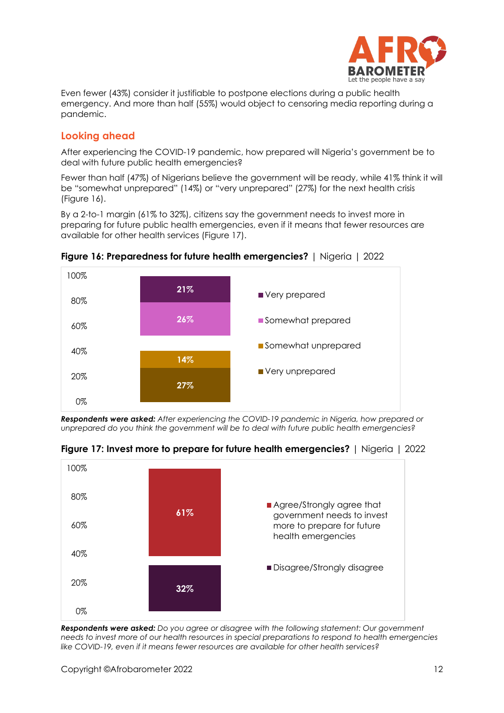

Even fewer (43%) consider it justifiable to postpone elections during a public health emergency. And more than half (55%) would object to censoring media reporting during a pandemic.

## **Looking ahead**

After experiencing the COVID-19 pandemic, how prepared will Nigeria's government be to deal with future public health emergencies?

Fewer than half (47%) of Nigerians believe the government will be ready, while 41% think it will be "somewhat unprepared" (14%) or "very unprepared" (27%) for the next health crisis (Figure 16).

By a 2-to-1 margin (61% to 32%), citizens say the government needs to invest more in preparing for future public health emergencies, even if it means that fewer resources are available for other health services (Figure 17).



**Figure 16: Preparedness for future health emergencies?** | Nigeria | 2022

*Respondents were asked: After experiencing the COVID-19 pandemic in Nigeria, how prepared or unprepared do you think the government will be to deal with future public health emergencies?*



**Figure 17: Invest more to prepare for future health emergencies?** | Nigeria | 2022

*Respondents were asked: Do you agree or disagree with the following statement: Our government needs to invest more of our health resources in special preparations to respond to health emergencies like COVID-19, even if it means fewer resources are available for other health services?*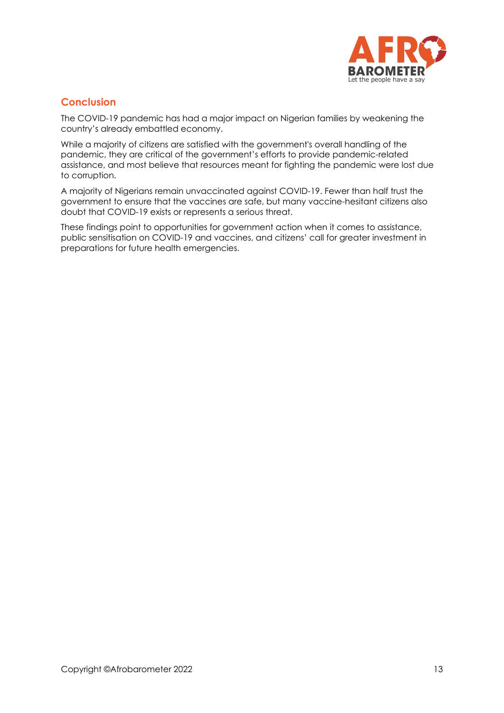

## **Conclusion**

The COVID-19 pandemic has had a major impact on Nigerian families by weakening the country's already embattled economy.

While a majority of citizens are satisfied with the government's overall handling of the pandemic, they are critical of the government's efforts to provide pandemic-related assistance, and most believe that resources meant for fighting the pandemic were lost due to corruption.

A majority of Nigerians remain unvaccinated against COVID-19. Fewer than half trust the government to ensure that the vaccines are safe, but many vaccine-hesitant citizens also doubt that COVID-19 exists or represents a serious threat.

These findings point to opportunities for government action when it comes to assistance, public sensitisation on COVID-19 and vaccines, and citizens' call for greater investment in preparations for future health emergencies.